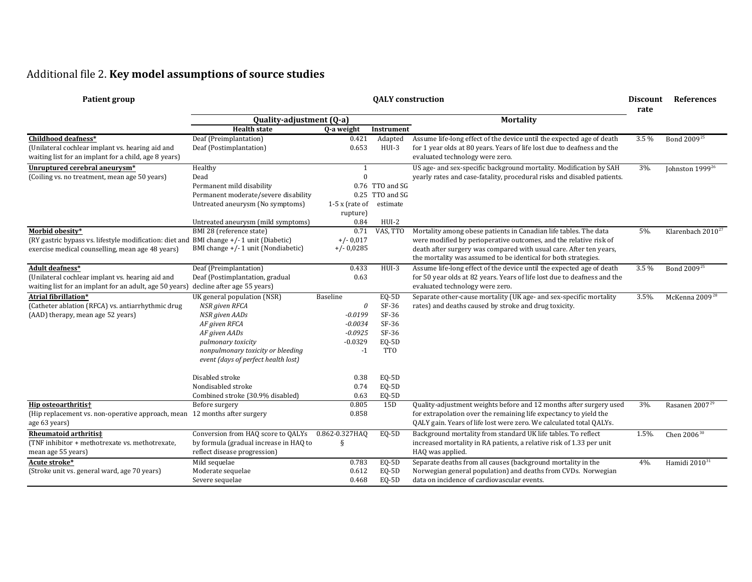## Additional file 2. **Key model assumptions of source studies**

| <b>Patient group</b>                                                                                                                        | <b>QALY</b> construction                                                                                                                                                                                               |                                                                                   |                                                                             |                                                                                                                                                                                                                | <b>Discount</b><br>rate | <b>References</b>           |
|---------------------------------------------------------------------------------------------------------------------------------------------|------------------------------------------------------------------------------------------------------------------------------------------------------------------------------------------------------------------------|-----------------------------------------------------------------------------------|-----------------------------------------------------------------------------|----------------------------------------------------------------------------------------------------------------------------------------------------------------------------------------------------------------|-------------------------|-----------------------------|
|                                                                                                                                             | Quality-adjustment (Q-a)                                                                                                                                                                                               |                                                                                   |                                                                             | <b>Mortality</b>                                                                                                                                                                                               |                         |                             |
|                                                                                                                                             | <b>Health state</b>                                                                                                                                                                                                    | Q-a weight                                                                        | Instrument                                                                  |                                                                                                                                                                                                                |                         |                             |
| Childhood deafness*<br>(Unilateral cochlear implant vs. hearing aid and<br>waiting list for an implant for a child, age 8 years)            | Deaf (Preimplantation)<br>Deaf (Postimplantation)                                                                                                                                                                      | 0.421<br>0.653                                                                    | Adapted<br>HUI-3                                                            | Assume life-long effect of the device until the expected age of death<br>for 1 year olds at 80 years. Years of life lost due to deafness and the<br>evaluated technology were zero.                            | 3.5 %                   | Bond 2009 <sup>25</sup>     |
| Unruptured cerebral aneurysm*                                                                                                               | Healthy                                                                                                                                                                                                                | $\mathbf{1}$                                                                      |                                                                             | US age- and sex-specific background mortality. Modification by SAH                                                                                                                                             | 3%                      | Johnston 1999 <sup>26</sup> |
| (Coiling vs. no treatment, mean age 50 years)                                                                                               | Dead<br>Permanent mild disability<br>Permanent moderate/severe disability<br>Untreated aneurysm (No symptoms)<br>Untreated aneurysm (mild symptoms)                                                                    | $\Omega$<br>$1-5x$ (rate of<br>rupture)<br>0.84                                   | 0.76 TTO and SG<br>0.25 TTO and SG<br>estimate<br>HUI-2                     | yearly rates and case-fatality, procedural risks and disabled patients.                                                                                                                                        |                         |                             |
| Morbid obesity*                                                                                                                             | BMI 28 (reference state)                                                                                                                                                                                               | 0.71                                                                              | VAS, TTO                                                                    | Mortality among obese patients in Canadian life tables. The data                                                                                                                                               | 5%.                     | Klarenbach $2010^{27}$      |
| (RY gastric bypass vs. lifestyle modification: diet and BMI change +/-1 unit (Diabetic)<br>exercise medical counselling, mean age 48 years) | BMI change +/-1 unit (Nondiabetic)                                                                                                                                                                                     | $+/- 0.017$<br>$+/- 0.0285$                                                       |                                                                             | were modified by perioperative outcomes, and the relative risk of<br>death after surgery was compared with usual care. After ten years,<br>the mortality was assumed to be identical for both strategies.      |                         |                             |
| Adult deafness*                                                                                                                             | Deaf (Preimplantation)                                                                                                                                                                                                 | 0.433                                                                             | $HUI-3$                                                                     | Assume life-long effect of the device until the expected age of death                                                                                                                                          | $3.5\%$                 | Bond 2009 <sup>25</sup>     |
| (Unilateral cochlear implant vs. hearing aid and<br>waiting list for an implant for an adult, age 50 years)                                 | Deaf (Postimplantation, gradual<br>decline after age 55 years)                                                                                                                                                         | 0.63                                                                              |                                                                             | for 50 year olds at 82 years. Years of life lost due to deafness and the<br>evaluated technology were zero.                                                                                                    |                         |                             |
| <b>Atrial fibrillation*</b><br>(Catheter ablation (RFCA) vs. antiarrhythmic drug<br>(AAD) therapy, mean age 52 years)                       | UK general population (NSR)<br>NSR given RFCA<br>NSR given AADs<br>AF given RFCA<br>AF given AADs<br>pulmonary toxicity<br>nonpulmonary toxicity or bleeding<br>event (days of perfect health lost)<br>Disabled stroke | Baseline<br>0<br>$-0.0199$<br>$-0.0034$<br>$-0.0925$<br>$-0.0329$<br>$-1$<br>0.38 | EQ-5D<br>SF-36<br>SF-36<br>SF-36<br>$SF-36$<br>EQ-5D<br><b>TTO</b><br>EQ-5D | Separate other-cause mortality (UK age- and sex-specific mortality<br>rates) and deaths caused by stroke and drug toxicity.                                                                                    | 3.5%.                   | McKenna 2009 <sup>28</sup>  |
|                                                                                                                                             | Nondisabled stroke                                                                                                                                                                                                     | 0.74                                                                              | EQ-5D                                                                       |                                                                                                                                                                                                                |                         |                             |
|                                                                                                                                             | Combined stroke (30.9% disabled)                                                                                                                                                                                       | 0.63                                                                              | EQ-5D                                                                       |                                                                                                                                                                                                                |                         |                             |
| Hip osteoarthritis†<br>(Hip replacement vs. non-operative approach, mean 12 months after surgery<br>age 63 years)                           | Before surgery                                                                                                                                                                                                         | 0.805<br>0.858                                                                    | 15D                                                                         | Quality-adjustment weights before and 12 months after surgery used<br>for extrapolation over the remaining life expectancy to yield the<br>QALY gain. Years of life lost were zero. We calculated total QALYs. | 3%.                     | Rasanen 2007 <sup>29</sup>  |
| Rheumatoid arthritis‡                                                                                                                       | Conversion from HAQ score to QALYs                                                                                                                                                                                     | 0.862-0.327HAO                                                                    | EQ-5D                                                                       | Background mortality from standard UK life tables. To reflect                                                                                                                                                  | 1.5%.                   | Chen $2006^{30}$            |
| (TNF inhibitor + methotrexate vs. methotrexate,<br>mean age 55 years)                                                                       | by formula (gradual increase in HAQ to<br>reflect disease progression)                                                                                                                                                 | ş                                                                                 |                                                                             | increased mortality in RA patients, a relative risk of 1.33 per unit<br>HAQ was applied.                                                                                                                       |                         |                             |
| Acute stroke*                                                                                                                               | Mild sequelae                                                                                                                                                                                                          | 0.783                                                                             | EQ-5D                                                                       | Separate deaths from all causes (background mortality in the                                                                                                                                                   | 4%                      | Hamidi $2010^{31}$          |
| (Stroke unit vs. general ward, age 70 years)                                                                                                | Moderate sequelae<br>Severe sequelae                                                                                                                                                                                   | 0.612<br>0.468                                                                    | EQ-5D<br>EQ-5D                                                              | Norwegian general population) and deaths from CVDs. Norwegian<br>data on incidence of cardiovascular events.                                                                                                   |                         |                             |